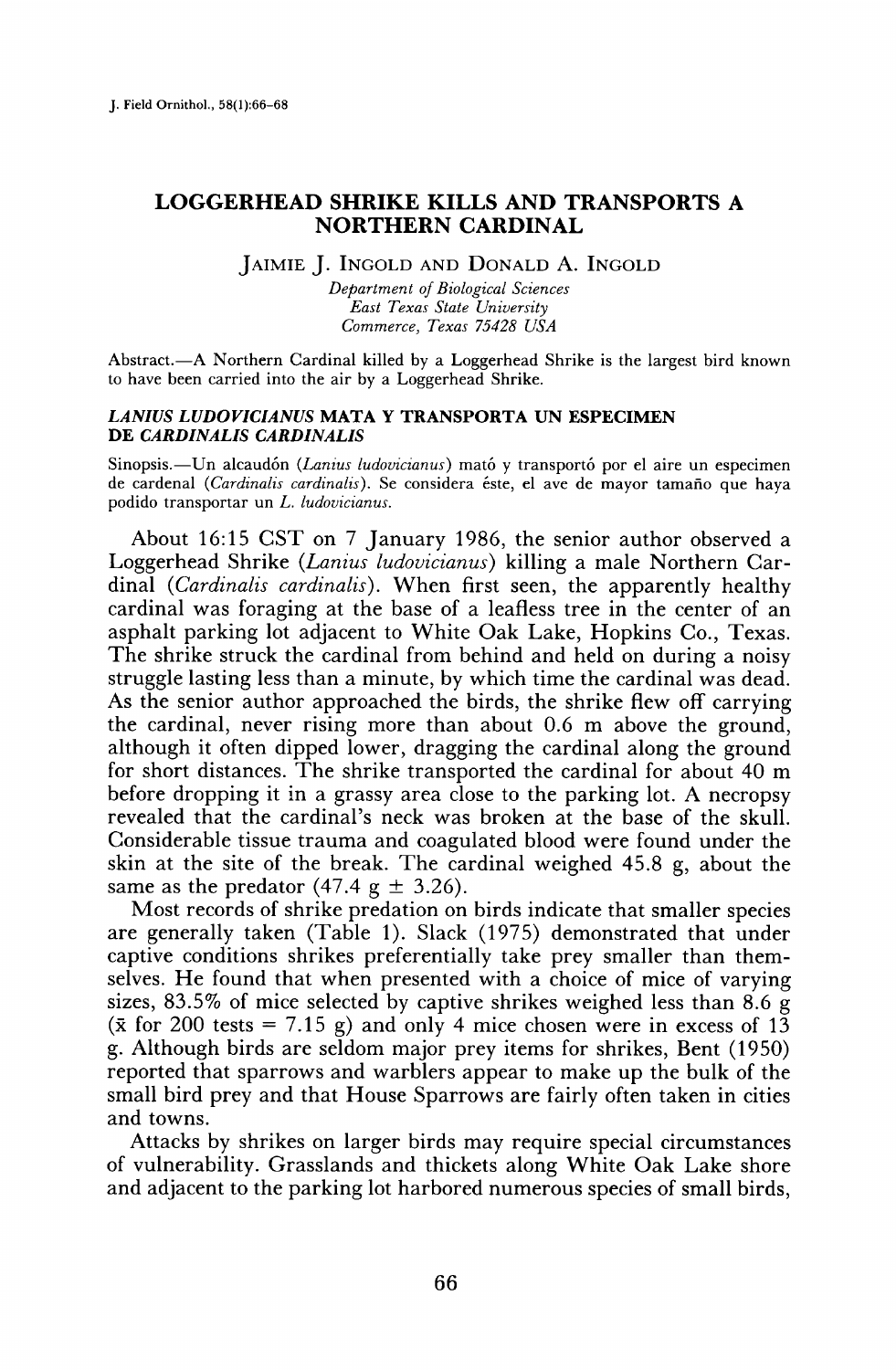# **LOGGERHEAD SHRIKE KILLS AND TRANSPORTS A NORTHERN CARDINAL**

**JAIMIE J. INGOLD AND DONALD A. INGOLD** 

**Department of Biological Sciences East Texas State University Commerce, Texas 75d28 USA** 

Abstract.-- A Northern Cardinal killed by a Loggerhead Shrike is the largest bird known **to have been carried into the air by a Loggerhead Shrike.** 

### **LANIUS LUDOVICIANUS MATA Y TRANSPORTA UN ESPECIMEN DE CARDINALIS CARDINALIS**

Sinopsis.—Un alcaudón (*Lanius ludovicianus*) mató y transportó por el aire un especimen **de cardenal (Cardinalis cardinalis). Se considera 6ste, el ave de mayor tamafio que haya podido transportar un L. ludovicianus.** 

**About 16:15 CST on 7 January 1986, the senior author observed a Loggerhead Shrike (Lanius ludovicianus) killing a male Northern Cardinal (Cardinalis cardinalis). When first seen, the apparently healthy cardinal was foraging at the base of a leafless tree in the center of an asphalt parking lot adjacent to White Oak Lake, Hopkins Co., Texas. The shrike struck the cardinal from behind and held on during a noisy struggle lasting less than a minute, by which time the cardinal was dead. As the senior author approached the birds, the shrike flew off carrying the cardinal, never rising more than about 0.6 m above the ground, although it often dipped lower, dragging the cardinal along the ground for short distances. The shrike transported the cardinal for about 40 m before dropping it in a grassy area close to the parking lot. A necropsy revealed that the cardinal's neck was broken at the base of the skull. Considerable tissue trauma and coagulated blood were found under the skin at the site of the break. The cardinal weighed 45.8 g, about the**  same as the predator  $(47.4 \text{ g } \pm 3.26)$ .

**Most records of shrike predation on birds indicate that smaller species are generally taken (Table 1). Slack (1975) demonstrated that under captive conditions shrikes preferentially take prey smaller than themselves. He found that when presented with a choice of mice of varying sizes, 83.5% of mice selected by captive shrikes weighed less than 8.6 g**   $(\bar{x}$  for 200 tests = 7.15 g) and only 4 mice chosen were in excess of 13 **g. Although birds are seldom major prey items for shrikes, Bent (1950) reported that sparrows and warblers appear to make up the bulk of the small bird prey and that House Sparrows are fairly often taken in cities and towns.** 

**Attacks by shrikes on larger birds may require special circumstances of vulnerability. Grasslands and thickets along White Oak Lake shore and adjacent to the parking lot harbored numerous species of small birds,**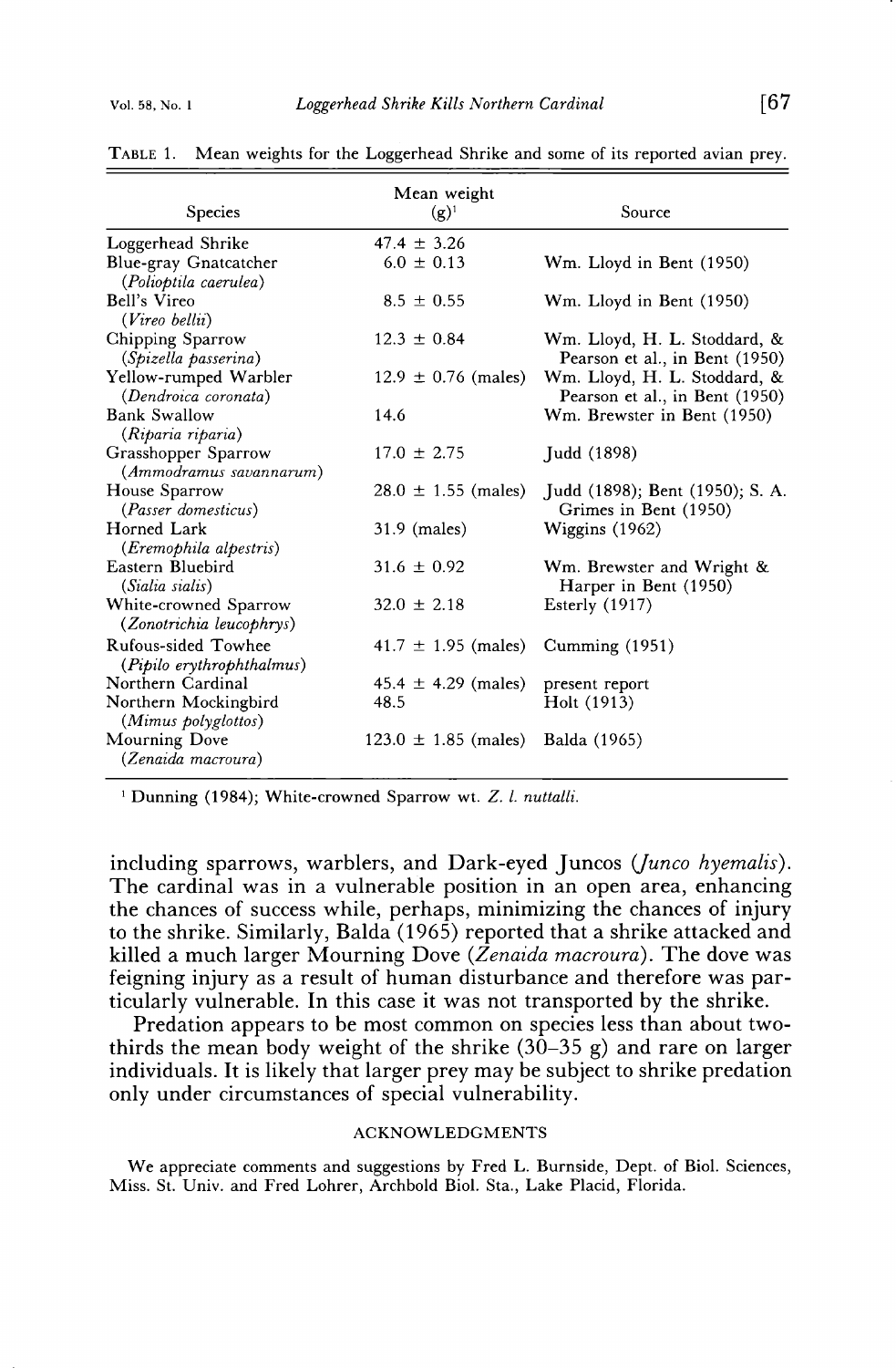| <b>Species</b>                                                   | Mean weight<br>$(g)^1$          | Source                                                         |
|------------------------------------------------------------------|---------------------------------|----------------------------------------------------------------|
| Loggerhead Shrike                                                | $47.4 \pm 3.26$                 |                                                                |
| Blue-gray Gnatcatcher<br>(Polioptila caerulea)                   | $6.0 \pm 0.13$                  | Wm. Lloyd in Bent (1950)                                       |
| Bell's Vireo<br>(Vireo bellii)                                   | $8.5 \pm 0.55$                  | Wm. Lloyd in Bent (1950)                                       |
| Chipping Sparrow<br><i>(Spizella passerina)</i>                  | $12.3 \pm 0.84$                 | Wm. Lloyd, H. L. Stoddard, &<br>Pearson et al., in Bent (1950) |
| Yellow-rumped Warbler<br>(Dendroica coronata)                    | $12.9 \pm 0.76$ (males)         | Wm. Lloyd, H. L. Stoddard, &<br>Pearson et al., in Bent (1950) |
| <b>Bank Swallow</b><br>(Riparia riparia)                         | 14.6                            | Wm. Brewster in Bent (1950)                                    |
| Grasshopper Sparrow<br>(Ammodramus savannarum)                   | $17.0 \pm 2.75$                 | Judd (1898)                                                    |
| House Sparrow<br>(Passer domesticus)                             | $28.0 \pm 1.55$ (males)         | Judd (1898); Bent (1950); S. A.<br>Grimes in Bent (1950)       |
| Horned Lark<br>(Eremophila alpestris)                            | 31.9 (males)                    | Wiggins $(1962)$                                               |
| Eastern Bluebird<br>(Sialia sialis)                              | $31.6 \pm 0.92$                 | Wm. Brewster and Wright &<br>Harper in Bent (1950)             |
| White-crowned Sparrow<br>(Zonotrichia leucophrys)                | $32.0 \pm 2.18$                 | Esterly $(1917)$                                               |
| Rufous-sided Towhee<br>(Pipilo erythrophthalmus)                 | $41.7 \pm 1.95$ (males)         | Cumming $(1951)$                                               |
| Northern Cardinal<br>Northern Mockingbird<br>(Mimus polyglottos) | $45.4 \pm 4.29$ (males)<br>48.5 | present report<br>Holt (1913)                                  |
| Mourning Dove<br>(Zenaida macroura)                              | $123.0 \pm 1.85$ (males)        | Balda (1965)                                                   |

**TABLE 1. Mean weights for the Loggerhead Shrike and some of its reported avian prey.** 

**i Dunning (1984); White-crowned Sparrow wt. Z. l. nuttalli.** 

**including sparrows, warblers, and Dark-eyed Juncos (Junco hyemalis). The cardinal was in a vulnerable position in an open area, enhancing the chances of success while, perhaps, minimizing the chances of injury to the shrike. Similarly, Balda (1965) reported that a shrike attacked and killed a much larger Mourning Dove (Zenaida macroura). The dove was feigning injury as a result of human disturbance and therefore was particularly vulnerable. In this case it was not transported by the shrike.** 

**Predation appears to be most common on species less than about twothirds the mean body weight of the shrike (30-35 g) and rare on larger individuals. It is likely that larger prey may be subject to shrike predation only under circumstances of special vulnerability.** 

#### **ACKNOWLEDGMENTS**

**We appreciate comments and suggestions by Fred L. Burnside, Dept. of Biol. Sciences, Miss. St. Univ. and Fred Lohrer, Archbold Biol. Sta., Lake Placid, Florida.**